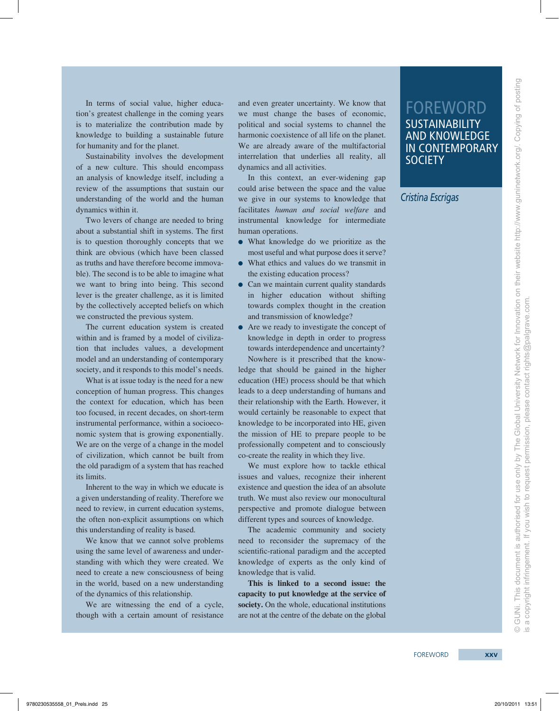© GUNi. This document is authorised for use only by The Global University Network for Innovation on their website http://www.guninetwork.org/. Copying of posting GUNi. This document is authorised for use only by The Global University Network for Innovation on their website http://www.guninetwork.org/. Copying of posting **SUSTAINABILITY** and knowledge in contemporary

is a copyright infringement. If you wish to request permission, please contact rights@palgrave.com.

a copyright infringement. If you wish to request permission, please contact rights@palgrave.com.

FOREWORD

**SOCIETY** 

*Cristina Escrigas*

In terms of social value, higher education's greatest challenge in the coming years is to materialize the contribution made by knowledge to building a sustainable future for humanity and for the planet.

Sustainability involves the development of a new culture. This should encompass an analysis of knowledge itself, including a review of the assumptions that sustain our understanding of the world and the human dynamics within it.

Two levers of change are needed to bring about a substantial shift in systems. The first is to question thoroughly concepts that we think are obvious (which have been classed as truths and have therefore become immovable). The second is to be able to imagine what we want to bring into being. This second lever is the greater challenge, as it is limited by the collectively accepted beliefs on which we constructed the previous system.

The current education system is created within and is framed by a model of civilization that includes values, a development model and an understanding of contemporary society, and it responds to this model's needs.

What is at issue today is the need for a new conception of human progress. This changes the context for education, which has been too focused, in recent decades, on short-term instrumental performance, within a socioeconomic system that is growing exponentially. We are on the verge of a change in the model of civilization, which cannot be built from the old paradigm of a system that has reached its limits.

Inherent to the way in which we educate is a given understanding of reality. Therefore we need to review, in current education systems, the often non-explicit assumptions on which this understanding of reality is based.

We know that we cannot solve problems using the same level of awareness and understanding with which they were created. We need to create a new consciousness of being in the world, based on a new understanding of the dynamics of this relationship.

We are witnessing the end of a cycle, though with a certain amount of resistance and even greater uncertainty. We know that we must change the bases of economic, political and social systems to channel the harmonic coexistence of all life on the planet. We are already aware of the multifactorial interrelation that underlies all reality, all dynamics and all activities.

In this context, an ever-widening gap could arise between the space and the value we give in our systems to knowledge that facilitates *human and social welfare* and instrumental knowledge for intermediate human operations.

- ●● What knowledge do we prioritize as the most useful and what purpose does it serve?
- ●● What ethics and values do we transmit in the existing education process?
- Can we maintain current quality standards in higher education without shifting towards complex thought in the creation and transmission of knowledge?
- Are we ready to investigate the concept of knowledge in depth in order to progress towards interdependence and uncertainty?

Nowhere is it prescribed that the knowledge that should be gained in the higher education (HE) process should be that which leads to a deep understanding of humans and their relationship with the Earth. However, it would certainly be reasonable to expect that knowledge to be incorporated into HE, given the mission of HE to prepare people to be professionally competent and to consciously co-create the reality in which they live.

We must explore how to tackle ethical issues and values, recognize their inherent existence and question the idea of an absolute truth. We must also review our monocultural perspective and promote dialogue between different types and sources of knowledge.

The academic community and society need to reconsider the supremacy of the scientific-rational paradigm and the accepted knowledge of experts as the only kind of knowledge that is valid.

**This is linked to a second issue: the capacity to put knowledge at the service of society.** On the whole, educational institutions are not at the centre of the debate on the global

 $\circledcirc$  . $\circledcirc$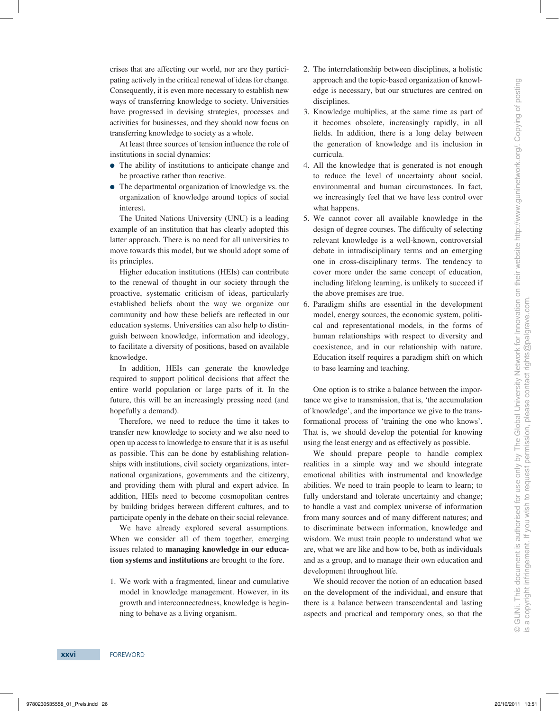crises that are affecting our world, nor are they participating actively in the critical renewal of ideas for change. Consequently, it is even more necessary to establish new ways of transferring knowledge to society. Universities have progressed in devising strategies, processes and activities for businesses, and they should now focus on transferring knowledge to society as a whole.

At least three sources of tension influence the role of institutions in social dynamics:

- The ability of institutions to anticipate change and be proactive rather than reactive.
- The departmental organization of knowledge vs. the organization of knowledge around topics of social interest.

The United Nations University (UNU) is a leading example of an institution that has clearly adopted this latter approach. There is no need for all universities to move towards this model, but we should adopt some of its principles.

Higher education institutions (HEIs) can contribute to the renewal of thought in our society through the proactive, systematic criticism of ideas, particularly established beliefs about the way we organize our community and how these beliefs are reflected in our education systems. Universities can also help to distinguish between knowledge, information and ideology, to facilitate a diversity of positions, based on available knowledge.

In addition, HEIs can generate the knowledge required to support political decisions that affect the entire world population or large parts of it. In the future, this will be an increasingly pressing need (and hopefully a demand).

Therefore, we need to reduce the time it takes to transfer new knowledge to society and we also need to open up access to knowledge to ensure that it is as useful as possible. This can be done by establishing relationships with institutions, civil society organizations, international organizations, governments and the citizenry, and providing them with plural and expert advice. In addition, HEIs need to become cosmopolitan centres by building bridges between different cultures, and to participate openly in the debate on their social relevance.

We have already explored several assumptions. When we consider all of them together, emerging issues related to **managing knowledge in our education systems and institutions** are brought to the fore.

1. We work with a fragmented, linear and cumulative model in knowledge management. However, in its growth and interconnectedness, knowledge is beginning to behave as a living organism.

- 2. The interrelationship between disciplines, a holistic approach and the topic-based organization of knowledge is necessary, but our structures are centred on disciplines.
- 3. Knowledge multiplies, at the same time as part of it becomes obsolete, increasingly rapidly, in all fields. In addition, there is a long delay between the generation of knowledge and its inclusion in curricula.
- 4. All the knowledge that is generated is not enough to reduce the level of uncertainty about social, environmental and human circumstances. In fact, we increasingly feel that we have less control over what happens.
- 5. We cannot cover all available knowledge in the design of degree courses. The difficulty of selecting relevant knowledge is a well-known, controversial debate in intradisciplinary terms and an emerging one in cross-disciplinary terms. The tendency to cover more under the same concept of education, including lifelong learning, is unlikely to succeed if the above premises are true.
- 6. Paradigm shifts are essential in the development model, energy sources, the economic system, political and representational models, in the forms of human relationships with respect to diversity and coexistence, and in our relationship with nature. Education itself requires a paradigm shift on which to base learning and teaching.

One option is to strike a balance between the importance we give to transmission, that is, 'the accumulation of knowledge', and the importance we give to the transformational process of 'training the one who knows'. That is, we should develop the potential for knowing using the least energy and as effectively as possible.

We should prepare people to handle complex realities in a simple way and we should integrate emotional abilities with instrumental and knowledge abilities. We need to train people to learn to learn; to fully understand and tolerate uncertainty and change; to handle a vast and complex universe of information from many sources and of many different natures; and to discriminate between information, knowledge and wisdom. We must train people to understand what we are, what we are like and how to be, both as individuals and as a group, and to manage their own education and development throughout life.

We should recover the notion of an education based on the development of the individual, and ensure that there is a balance between transcendental and lasting aspects and practical and temporary ones, so that the